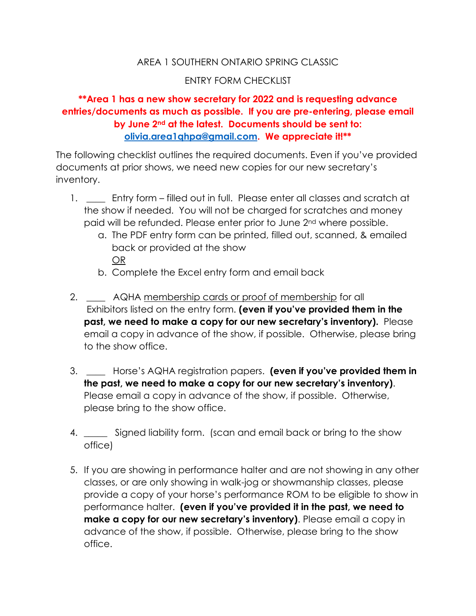## AREA 1 SOUTHERN ONTARIO SPRING CLASSIC

## ENTRY FORM CHECKLIST

## **\*\*Area 1 has a new show secretary for 2022 and is requesting advance entries/documents as much as possible. If you are pre-entering, please email by June 2nd at the latest. Documents should be sent to: [olivia.area1qhpa@gmail.com.](mailto:olivia.area1qhpa@gmail.com) We appreciate it!\*\***

The following checklist outlines the required documents. Even if you've provided documents at prior shows, we need new copies for our new secretary's inventory.

- 1. Entry form filled out in full. Please enter all classes and scratch at the show if needed. You will not be charged for scratches and money paid will be refunded. Please enter prior to June 2nd where possible.
	- a. The PDF entry form can be printed, filled out, scanned, & emailed back or provided at the show OR
	- b. Complete the Excel entry form and email back
- 2. \_\_\_\_ AQHA membership cards or proof of membership for all Exhibitors listed on the entry form. **(even if you've provided them in the past, we need to make a copy for our new secretary's inventory).** Please email a copy in advance of the show, if possible. Otherwise, please bring to the show office.
- 3. \_\_\_\_ Horse's AQHA registration papers. **(even if you've provided them in the past, we need to make a copy for our new secretary's inventory)**. Please email a copy in advance of the show, if possible. Otherwise, please bring to the show office.
- 4. \_\_\_\_\_ Signed liability form. (scan and email back or bring to the show office)
- 5. If you are showing in performance halter and are not showing in any other classes, or are only showing in walk-jog or showmanship classes, please provide a copy of your horse's performance ROM to be eligible to show in performance halter. **(even if you've provided it in the past, we need to make a copy for our new secretary's inventory)**. Please email a copy in advance of the show, if possible. Otherwise, please bring to the show office.